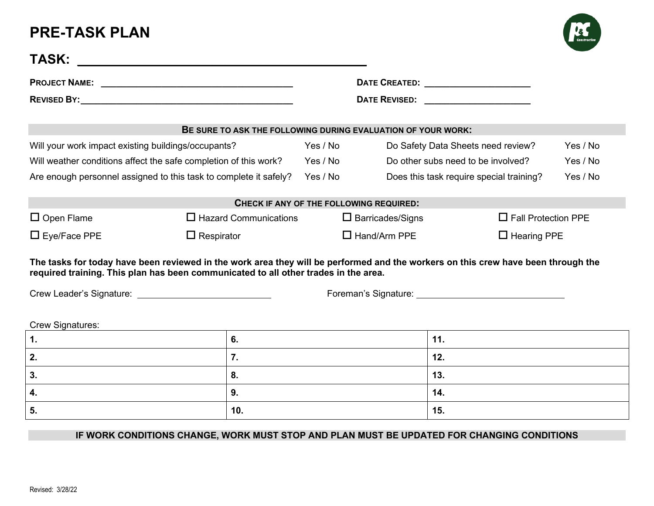## **PRE-TASK PLAN**



|                                                                 | BE SURE TO ASK THE FOLLOWING DURING EVALUATION OF YOUR WORK:                                                                                                                                                             |                                           |                                                                                                                                                                                                                                |                                    |          |
|-----------------------------------------------------------------|--------------------------------------------------------------------------------------------------------------------------------------------------------------------------------------------------------------------------|-------------------------------------------|--------------------------------------------------------------------------------------------------------------------------------------------------------------------------------------------------------------------------------|------------------------------------|----------|
| Will your work impact existing buildings/occupants?<br>Yes / No |                                                                                                                                                                                                                          |                                           | Do Safety Data Sheets need review?                                                                                                                                                                                             |                                    | Yes / No |
|                                                                 | Will weather conditions affect the safe completion of this work?                                                                                                                                                         | Yes / No                                  |                                                                                                                                                                                                                                | Do other subs need to be involved? |          |
|                                                                 | Are enough personnel assigned to this task to complete it safely?                                                                                                                                                        | Yes / No                                  | Does this task require special training?                                                                                                                                                                                       |                                    | Yes / No |
|                                                                 |                                                                                                                                                                                                                          | CHECK IF ANY OF THE FOLLOWING REQUIRED:   |                                                                                                                                                                                                                                |                                    |          |
| $\Box$ Open Flame                                               | $\Box$ Hazard Communications                                                                                                                                                                                             |                                           | $\Box$ Barricades/Signs                                                                                                                                                                                                        | $\Box$ Fall Protection PPE         |          |
|                                                                 |                                                                                                                                                                                                                          | $\Box$ Hand/Arm PPE<br>$\Box$ Hearing PPE |                                                                                                                                                                                                                                |                                    |          |
|                                                                 | $\Box$ Respirator                                                                                                                                                                                                        |                                           |                                                                                                                                                                                                                                |                                    |          |
|                                                                 | The tasks for today have been reviewed in the work area they will be performed and the workers on this crew have been through the<br>required training. This plan has been communicated to all other trades in the area. |                                           | Foreman's Signature: Note that the state of the state of the state of the state of the state of the state of the state of the state of the state of the state of the state of the state of the state of the state of the state |                                    |          |
|                                                                 |                                                                                                                                                                                                                          |                                           |                                                                                                                                                                                                                                |                                    |          |
| $\Box$ Eye/Face PPE<br>Crew Signatures:<br>1.                   | 6.                                                                                                                                                                                                                       |                                           | 11.                                                                                                                                                                                                                            |                                    |          |
|                                                                 | 7.                                                                                                                                                                                                                       |                                           | 12.                                                                                                                                                                                                                            |                                    |          |
|                                                                 | 8.                                                                                                                                                                                                                       |                                           | 13.                                                                                                                                                                                                                            |                                    |          |
| 2.<br>3.<br>4.                                                  | 9.                                                                                                                                                                                                                       |                                           | 14.                                                                                                                                                                                                                            |                                    |          |

## **IF WORK CONDITIONS CHANGE, WORK MUST STOP AND PLAN MUST BE UPDATED FOR CHANGING CONDITIONS**